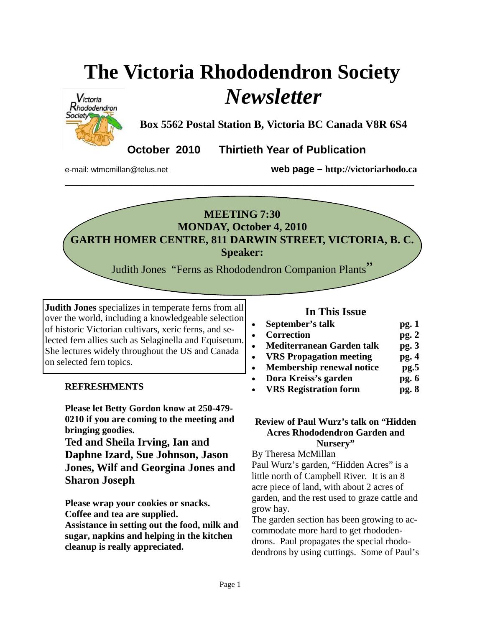# **The Victoria Rhododendron Society**  *Newsletter*



**Box 5562 Postal Station B, Victoria BC Canada V8R 6S4** 

**October 2010 Thirtieth Year of Publication** 

e-mail: wtmcmillan@telus.net **web page – http://victoriarhodo.ca**

## **MEETING 7:30 MONDAY, October 4, 2010 GARTH HOMER CENTRE, 811 DARWIN STREET, VICTORIA, B. C. Speaker:**

**\_\_\_\_\_\_\_\_\_\_\_\_\_\_\_\_\_\_\_\_\_\_\_\_\_\_\_\_\_\_\_\_\_\_\_\_\_\_\_\_\_\_\_\_\_\_\_\_\_\_\_\_\_\_\_\_\_\_\_\_\_\_\_** 

Judith Jones "Ferns as Rhododendron Companion Plants"

**Judith Jones** specializes in temperate ferns from all over the world, including a knowledgeable selection of historic Victorian cultivars, xeric ferns, and selected fern allies such as Selaginella and Equisetum. She lectures widely throughout the US and Canada on selected fern topics.

#### **REFRESHMENTS**

**Please let Betty Gordon know at 250-479- 0210 if you are coming to the meeting and bringing goodies.** 

**Ted and Sheila Irving, Ian and Daphne Izard, Sue Johnson, Jason Jones, Wilf and Georgina Jones and Sharon Joseph** 

**Please wrap your cookies or snacks. Coffee and tea are supplied. Assistance in setting out the food, milk and sugar, napkins and helping in the kitchen cleanup is really appreciated.** 

#### **In This Issue**

| $\bullet$ | September's talk                 | pg. 1 |
|-----------|----------------------------------|-------|
| $\bullet$ | <b>Correction</b>                | pg.2  |
| $\bullet$ | Mediterranean Garden talk        | pg.3  |
| $\bullet$ | <b>VRS</b> Propagation meeting   | pg. 4 |
| $\bullet$ | <b>Membership renewal notice</b> | pg.5  |
| $\bullet$ | Dora Kreiss's garden             | pg.6  |
| $\bullet$ | <b>VRS Registration form</b>     | pg.8  |
|           |                                  |       |

#### **Review of Paul Wurz's talk on "Hidden Acres Rhododendron Garden and Nursery"**

#### By Theresa McMillan

Paul Wurz's garden, "Hidden Acres" is a little north of Campbell River. It is an 8 acre piece of land, with about 2 acres of garden, and the rest used to graze cattle and grow hay.

The garden section has been growing to accommodate more hard to get rhododendrons. Paul propagates the special rhododendrons by using cuttings. Some of Paul's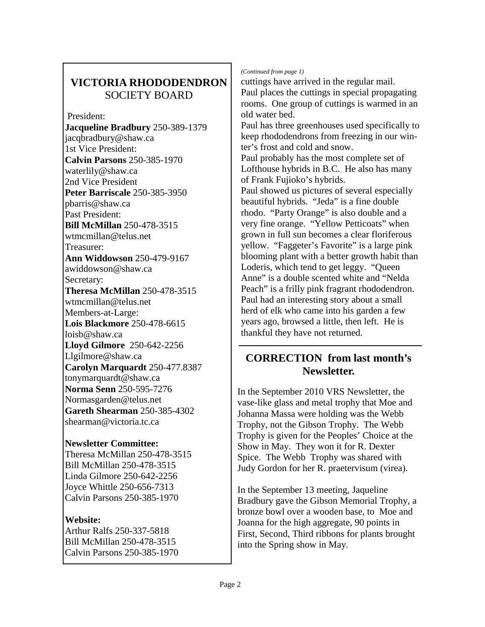## **VICTORIA RHODODENDRON**  SOCIETY BOARD

 President: **Jacqueline Bradbury** 250-389-1379 jacqbradbury@shaw.ca 1st Vice President: **Calvin Parsons** 250-385-1970 waterlily@shaw.ca 2nd Vice President **Peter Barriscale** 250-385-3950 pbarris@shaw.ca Past President: **Bill McMillan** 250-478-3515 wtmcmillan@telus.net Treasurer: **Ann Widdowson** 250-479-9167 awiddowson@shaw.ca Secretary: **Theresa McMillan** 250-478-3515 wtmcmillan@telus.net Members-at-Large: **Lois Blackmore** 250-478-6615 loisb@shaw.ca **Lloyd Gilmore** 250-642-2256 Llgilmore@shaw.ca **Carolyn Marquardt** 250-477.8387 tonymarquardt@shaw.ca **Norma Senn** 250-595-7276 Normasgarden@telus.net **Gareth Shearman** 250-385-4302 shearman@victoria.tc.ca

#### **Newsletter Committee:**

Theresa McMillan 250-478-3515 Bill McMillan 250-478-3515 Linda Gilmore 250-642-2256 Joyce Whittle 250-656-7313 Calvin Parsons 250-385-1970

#### **Website:**

Arthur Ralfs 250-337-5818 Bill McMillan 250-478-3515 Calvin Parsons 250-385-1970

#### *(Continued from page 1)*

cuttings have arrived in the regular mail. Paul places the cuttings in special propagating rooms. One group of cuttings is warmed in an old water bed. Paul has three greenhouses used specifically to

keep rhododendrons from freezing in our winter's frost and cold and snow.

Paul probably has the most complete set of Lofthouse hybrids in B.C. He also has many of Frank Fujioko's hybrids.

Paul showed us pictures of several especially beautiful hybrids. "Jeda" is a fine double rhodo. "Party Orange" is also double and a very fine orange. "Yellow Petticoats" when grown in full sun becomes a clear floriferous yellow. "Faggeter's Favorite" is a large pink blooming plant with a better growth habit than Loderis, which tend to get leggy. "Queen Anne" is a double scented white and "Nelda Peach" is a frilly pink fragrant rhododendron. Paul had an interesting story about a small herd of elk who came into his garden a few years ago, browsed a little, then left. He is thankful they have not returned.

### **CORRECTION from last month's Newsletter.**

In the September 2010 VRS Newsletter, the vase-like glass and metal trophy that Moe and Johanna Massa were holding was the Webb Trophy, not the Gibson Trophy. The Webb Trophy is given for the Peoples' Choice at the Show in May. They won it for R. Dexter Spice. The Webb Trophy was shared with Judy Gordon for her R. praetervisum (virea).

In the September 13 meeting, Jaqueline Bradbury gave the Gibson Memorial Trophy, a bronze bowl over a wooden base, to Moe and Joanna for the high aggregate, 90 points in First, Second, Third ribbons for plants brought into the Spring show in May.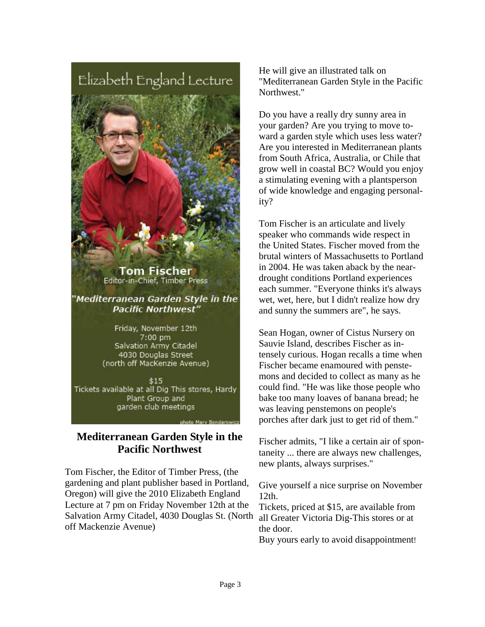Elizabeth England Lecture



Tom Fischer Editor-in-Chief, Timber Press

"Mediterranean Garden Style in the **Pacific Northwest"** 

> Friday, November 12th 7:00 pm Salvation Army Citadel 4030 Douglas Street (north off MacKenzie Avenue)

\$15 Tickets available at all Dig This stores, Hardy Plant Group and garden club meetings

#### **Mediterranean Garden Style in the Pacific Northwest**

Tom Fischer, the Editor of Timber Press, (the gardening and plant publisher based in Portland, Oregon) will give the 2010 Elizabeth England Lecture at 7 pm on Friday November 12th at the Salvation Army Citadel, 4030 Douglas St. (North off Mackenzie Avenue)

He will give an illustrated talk on "Mediterranean Garden Style in the Pacific Northwest."

Do you have a really dry sunny area in your garden? Are you trying to move toward a garden style which uses less water? Are you interested in Mediterranean plants from South Africa, Australia, or Chile that grow well in coastal BC? Would you enjoy a stimulating evening with a plantsperson of wide knowledge and engaging personality?

Tom Fischer is an articulate and lively speaker who commands wide respect in the United States. Fischer moved from the brutal winters of Massachusetts to Portland in 2004. He was taken aback by the neardrought conditions Portland experiences each summer. "Everyone thinks it's always wet, wet, here, but I didn't realize how dry and sunny the summers are", he says.

Sean Hogan, owner of Cistus Nursery on Sauvie Island, describes Fischer as intensely curious. Hogan recalls a time when Fischer became enamoured with penstemons and decided to collect as many as he could find. "He was like those people who bake too many loaves of banana bread; he was leaving penstemons on people's porches after dark just to get rid of them."

Fischer admits, "I like a certain air of spontaneity ... there are always new challenges, new plants, always surprises."

Give yourself a nice surprise on November 12th.

Tickets, priced at \$15, are available from all Greater Victoria Dig-This stores or at the door.

Buy yours early to avoid disappointment!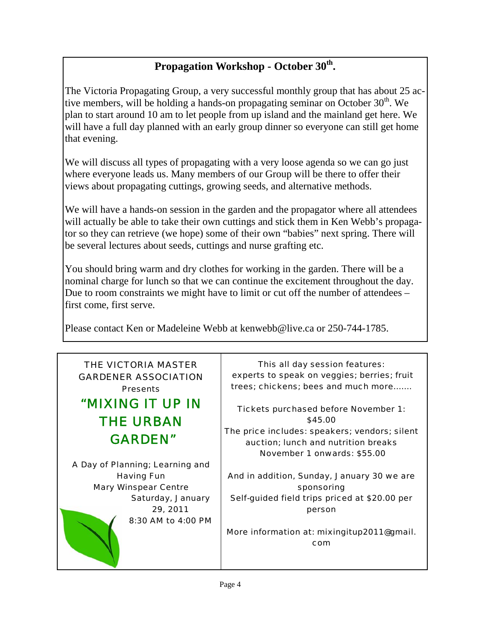# Propagation Workshop - October 30<sup>th</sup>.

The Victoria Propagating Group, a very successful monthly group that has about 25 active members, will be holding a hands-on propagating seminar on October  $30<sup>th</sup>$ . We plan to start around 10 am to let people from up island and the mainland get here. We will have a full day planned with an early group dinner so everyone can still get home that evening.

We will discuss all types of propagating with a very loose agenda so we can go just where everyone leads us. Many members of our Group will be there to offer their views about propagating cuttings, growing seeds, and alternative methods.

We will have a hands-on session in the garden and the propagator where all attendees will actually be able to take their own cuttings and stick them in Ken Webb's propagator so they can retrieve (we hope) some of their own "babies" next spring. There will be several lectures about seeds, cuttings and nurse grafting etc.

You should bring warm and dry clothes for working in the garden. There will be a nominal charge for lunch so that we can continue the excitement throughout the day. Due to room constraints we might have to limit or cut off the number of attendees – first come, first serve.

Please contact Ken or Madeleine Webb at kenwebb@live.ca or 250-744-1785.

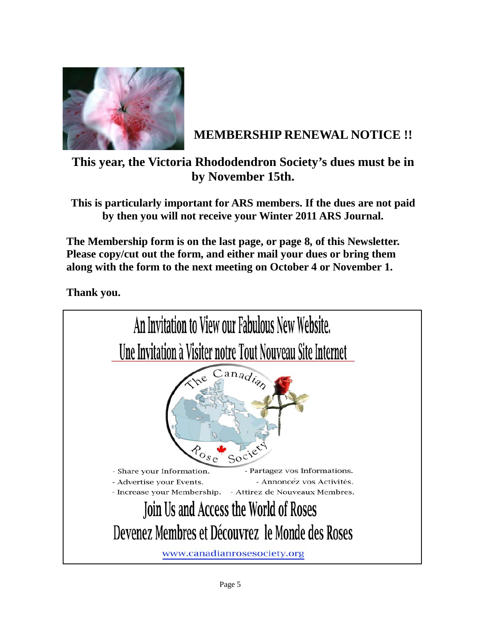

# **MEMBERSHIP RENEWAL NOTICE !!**

**This year, the Victoria Rhododendron Society's dues must be in by November 15th.** 

**This is particularly important for ARS members. If the dues are not paid by then you will not receive your Winter 2011 ARS Journal.** 

**The Membership form is on the last page, or page 8, of this Newsletter. Please copy/cut out the form, and either mail your dues or bring them along with the form to the next meeting on October 4 or November 1.** 

**Thank you.** 

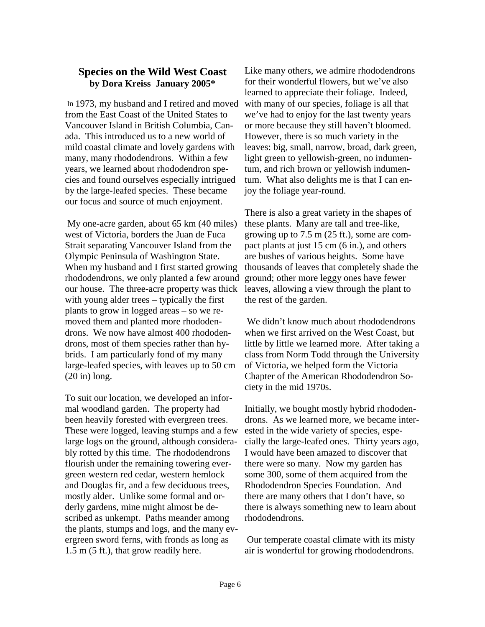#### **Species on the Wild West Coast by Dora Kreiss January 2005\***

 In 1973, my husband and I retired and moved from the East Coast of the United States to Vancouver Island in British Columbia, Canada. This introduced us to a new world of mild coastal climate and lovely gardens with many, many rhododendrons. Within a few years, we learned about rhododendron species and found ourselves especially intrigued by the large-leafed species. These became our focus and source of much enjoyment.

 My one-acre garden, about 65 km (40 miles) west of Victoria, borders the Juan de Fuca Strait separating Vancouver Island from the Olympic Peninsula of Washington State. When my husband and I first started growing rhododendrons, we only planted a few around our house. The three-acre property was thick with young alder trees – typically the first plants to grow in logged areas – so we removed them and planted more rhododendrons. We now have almost 400 rhododendrons, most of them species rather than hybrids. I am particularly fond of my many large-leafed species, with leaves up to 50 cm (20 in) long.

To suit our location, we developed an informal woodland garden. The property had been heavily forested with evergreen trees. These were logged, leaving stumps and a few large logs on the ground, although considerably rotted by this time. The rhododendrons flourish under the remaining towering evergreen western red cedar, western hemlock and Douglas fir, and a few deciduous trees, mostly alder. Unlike some formal and orderly gardens, mine might almost be described as unkempt. Paths meander among the plants, stumps and logs, and the many evergreen sword ferns, with fronds as long as 1.5 m (5 ft.), that grow readily here.

Like many others, we admire rhododendrons for their wonderful flowers, but we've also learned to appreciate their foliage. Indeed, with many of our species, foliage is all that we've had to enjoy for the last twenty years or more because they still haven't bloomed. However, there is so much variety in the leaves: big, small, narrow, broad, dark green, light green to yellowish-green, no indumentum, and rich brown or yellowish indumentum. What also delights me is that I can enjoy the foliage year-round.

There is also a great variety in the shapes of these plants. Many are tall and tree-like, growing up to 7.5 m (25 ft.), some are compact plants at just 15 cm (6 in.), and others are bushes of various heights. Some have thousands of leaves that completely shade the ground; other more leggy ones have fewer leaves, allowing a view through the plant to the rest of the garden.

We didn't know much about rhododendrons when we first arrived on the West Coast, but little by little we learned more. After taking a class from Norm Todd through the University of Victoria, we helped form the Victoria Chapter of the American Rhododendron Society in the mid 1970s.

Initially, we bought mostly hybrid rhododendrons. As we learned more, we became interested in the wide variety of species, especially the large-leafed ones. Thirty years ago, I would have been amazed to discover that there were so many. Now my garden has some 300, some of them acquired from the Rhododendron Species Foundation. And there are many others that I don't have, so there is always something new to learn about rhododendrons.

 Our temperate coastal climate with its misty air is wonderful for growing rhododendrons.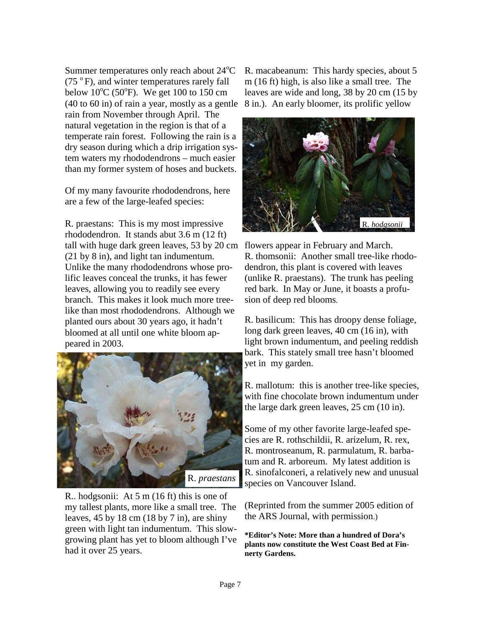Summer temperatures only reach about 24°C  $(75<sup>o</sup>F)$ , and winter temperatures rarely fall below  $10^{\circ}$ C (50 $^{\circ}$ F). We get 100 to 150 cm (40 to 60 in) of rain a year, mostly as a gentle rain from November through April. The natural vegetation in the region is that of a temperate rain forest. Following the rain is a dry season during which a drip irrigation system waters my rhododendrons – much easier than my former system of hoses and buckets.

Of my many favourite rhododendrons, here are a few of the large-leafed species:

R. praestans: This is my most impressive rhododendron. It stands abut 3.6 m (12 ft) tall with huge dark green leaves, 53 by 20 cm flowers appear in February and March. (21 by 8 in), and light tan indumentum. Unlike the many rhododendrons whose prolific leaves conceal the trunks, it has fewer leaves, allowing you to readily see every branch. This makes it look much more treelike than most rhododendrons. Although we planted ours about 30 years ago, it hadn't bloomed at all until one white bloom appeared in 2003.



R.. hodgsonii: At 5 m (16 ft) this is one of my tallest plants, more like a small tree. The leaves,  $45 \text{ by } 18 \text{ cm } (18 \text{ by } 7 \text{ in})$ , are shiny green with light tan indumentum. This slowgrowing plant has yet to bloom although I've had it over 25 years.

R. macabeanum: This hardy species, about 5 m (16 ft) high, is also like a small tree. The leaves are wide and long, 38 by 20 cm (15 by 8 in.). An early bloomer, its prolific yellow



R. thomsonii: Another small tree-like rhododendron, this plant is covered with leaves (unlike R. praestans). The trunk has peeling red bark. In May or June, it boasts a profusion of deep red blooms.

R. basilicum: This has droopy dense foliage, long dark green leaves, 40 cm (16 in), with light brown indumentum, and peeling reddish bark. This stately small tree hasn't bloomed yet in my garden.

R. mallotum: this is another tree-like species, with fine chocolate brown indumentum under the large dark green leaves, 25 cm (10 in).

Some of my other favorite large-leafed species are R. rothschildii, R. arizelum, R. rex, R. montroseanum, R. parmulatum, R. barbatum and R. arboreum. My latest addition is R. sinofalconeri, a relatively new and unusual species on Vancouver Island.

(Reprinted from the summer 2005 edition of the ARS Journal, with permission.)

**\*Editor's Note: More than a hundred of Dora's plants now constitute the West Coast Bed at Finnerty Gardens.**